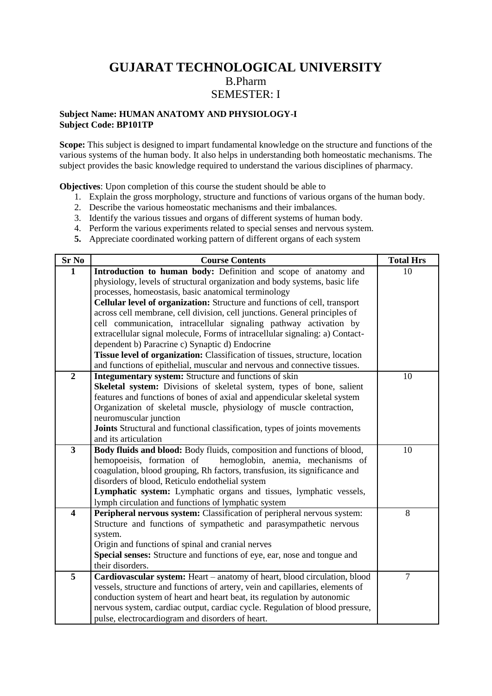# **GUJARAT TECHNOLOGICAL UNIVERSITY** B.Pharm SEMESTER: I

## **Subject Name: HUMAN ANATOMY AND PHYSIOLOGY-I Subject Code: BP101TP**

**Scope:** This subject is designed to impart fundamental knowledge on the structure and functions of the various systems of the human body. It also helps in understanding both homeostatic mechanisms. The subject provides the basic knowledge required to understand the various disciplines of pharmacy.

**Objectives**: Upon completion of this course the student should be able to

- 1. Explain the gross morphology, structure and functions of various organs of the human body.
- 2. Describe the various homeostatic mechanisms and their imbalances.
- 3. Identify the various tissues and organs of different systems of human body.
- 4. Perform the various experiments related to special senses and nervous system.
- **5.** Appreciate coordinated working pattern of different organs of each system

| <b>Sr No</b>            | <b>Course Contents</b>                                                                                                         | <b>Total Hrs</b> |
|-------------------------|--------------------------------------------------------------------------------------------------------------------------------|------------------|
| $\mathbf{1}$            | Introduction to human body: Definition and scope of anatomy and                                                                | 10               |
|                         | physiology, levels of structural organization and body systems, basic life                                                     |                  |
|                         | processes, homeostasis, basic anatomical terminology                                                                           |                  |
|                         | Cellular level of organization: Structure and functions of cell, transport                                                     |                  |
|                         | across cell membrane, cell division, cell junctions. General principles of                                                     |                  |
|                         | cell communication, intracellular signaling pathway activation by                                                              |                  |
|                         | extracellular signal molecule, Forms of intracellular signaling: a) Contact-                                                   |                  |
|                         | dependent b) Paracrine c) Synaptic d) Endocrine                                                                                |                  |
|                         | Tissue level of organization: Classification of tissues, structure, location                                                   |                  |
|                         | and functions of epithelial, muscular and nervous and connective tissues.                                                      |                  |
| $\overline{2}$          | Integumentary system: Structure and functions of skin                                                                          | 10               |
|                         | Skeletal system: Divisions of skeletal system, types of bone, salient                                                          |                  |
|                         | features and functions of bones of axial and appendicular skeletal system                                                      |                  |
|                         | Organization of skeletal muscle, physiology of muscle contraction,                                                             |                  |
|                         | neuromuscular junction                                                                                                         |                  |
|                         | Joints Structural and functional classification, types of joints movements                                                     |                  |
|                         | and its articulation                                                                                                           |                  |
| $\overline{\mathbf{3}}$ | Body fluids and blood: Body fluids, composition and functions of blood,                                                        | 10               |
|                         | hemopoeisis, formation of<br>hemoglobin, anemia, mechanisms of                                                                 |                  |
|                         | coagulation, blood grouping, Rh factors, transfusion, its significance and                                                     |                  |
|                         | disorders of blood, Reticulo endothelial system                                                                                |                  |
|                         | Lymphatic system: Lymphatic organs and tissues, lymphatic vessels,                                                             |                  |
| $\overline{\mathbf{4}}$ | lymph circulation and functions of lymphatic system<br>Peripheral nervous system: Classification of peripheral nervous system: | 8                |
|                         | Structure and functions of sympathetic and parasympathetic nervous                                                             |                  |
|                         | system.                                                                                                                        |                  |
|                         | Origin and functions of spinal and cranial nerves                                                                              |                  |
|                         | Special senses: Structure and functions of eye, ear, nose and tongue and                                                       |                  |
|                         | their disorders.                                                                                                               |                  |
| $\overline{5}$          | Cardiovascular system: Heart – anatomy of heart, blood circulation, blood                                                      | $\overline{7}$   |
|                         | vessels, structure and functions of artery, vein and capillaries, elements of                                                  |                  |
|                         | conduction system of heart and heart beat, its regulation by autonomic                                                         |                  |
|                         | nervous system, cardiac output, cardiac cycle. Regulation of blood pressure,                                                   |                  |
|                         | pulse, electrocardiogram and disorders of heart.                                                                               |                  |